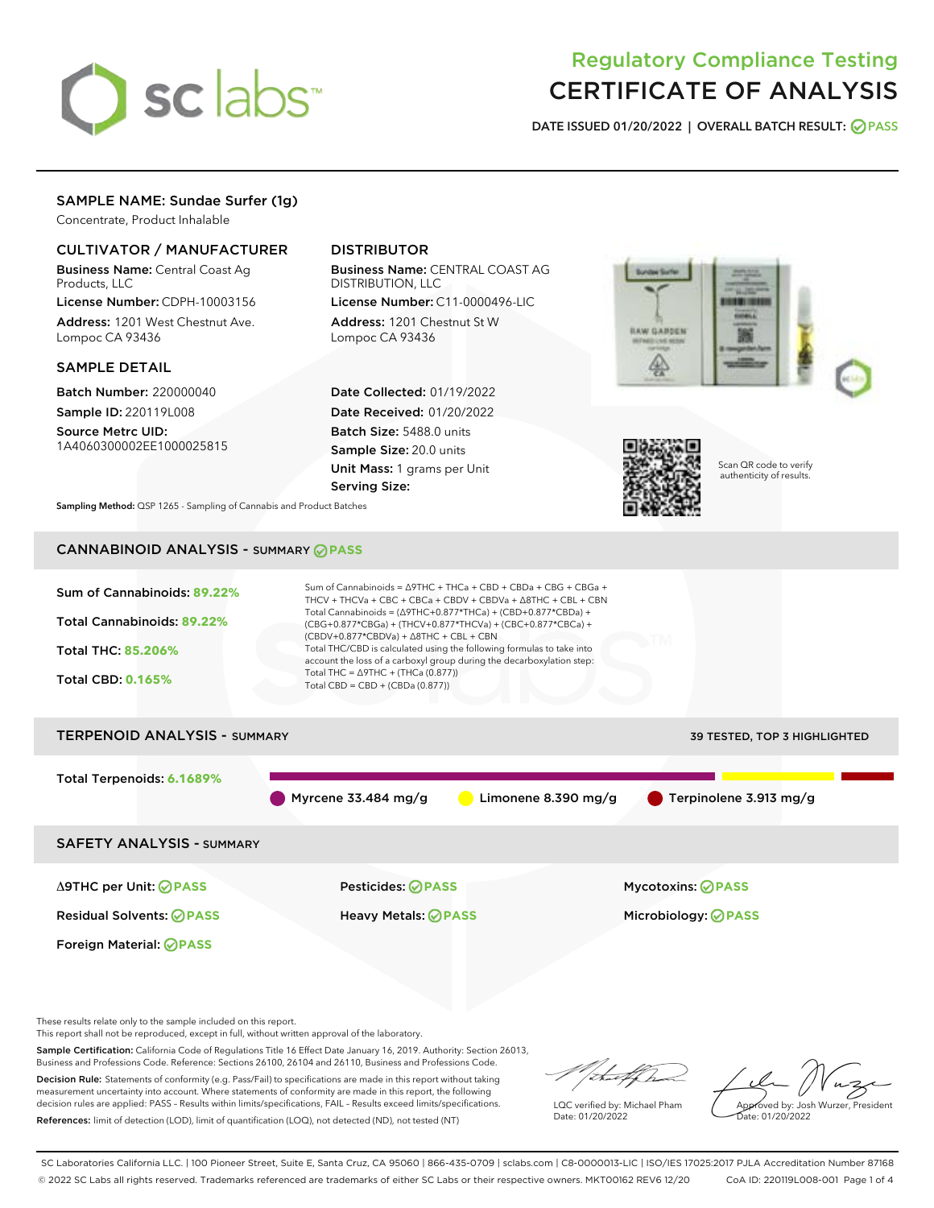# sclabs<sup>\*</sup>

# Regulatory Compliance Testing CERTIFICATE OF ANALYSIS

DATE ISSUED 01/20/2022 | OVERALL BATCH RESULT: @ PASS

### SAMPLE NAME: Sundae Surfer (1g)

Concentrate, Product Inhalable

#### CULTIVATOR / MANUFACTURER

Business Name: Central Coast Ag Products, LLC

License Number: CDPH-10003156 Address: 1201 West Chestnut Ave. Lompoc CA 93436

#### SAMPLE DETAIL

Batch Number: 220000040 Sample ID: 220119L008

Source Metrc UID: 1A4060300002EE1000025815

## DISTRIBUTOR

Business Name: CENTRAL COAST AG DISTRIBUTION, LLC

License Number: C11-0000496-LIC Address: 1201 Chestnut St W Lompoc CA 93436

Date Collected: 01/19/2022 Date Received: 01/20/2022 Batch Size: 5488.0 units Sample Size: 20.0 units Unit Mass: 1 grams per Unit Serving Size:





Scan QR code to verify authenticity of results.

Sampling Method: QSP 1265 - Sampling of Cannabis and Product Batches

# CANNABINOID ANALYSIS - SUMMARY **PASS**



Business and Professions Code. Reference: Sections 26100, 26104 and 26110, Business and Professions Code. Decision Rule: Statements of conformity (e.g. Pass/Fail) to specifications are made in this report without taking measurement uncertainty into account. Where statements of conformity are made in this report, the following decision rules are applied: PASS – Results within limits/specifications, FAIL – Results exceed limits/specifications. References: limit of detection (LOD), limit of quantification (LOQ), not detected (ND), not tested (NT)

LQC verified by: Michael Pham Date: 01/20/2022

Approved by: Josh Wurzer, President ate: 01/20/2022

SC Laboratories California LLC. | 100 Pioneer Street, Suite E, Santa Cruz, CA 95060 | 866-435-0709 | sclabs.com | C8-0000013-LIC | ISO/IES 17025:2017 PJLA Accreditation Number 87168 © 2022 SC Labs all rights reserved. Trademarks referenced are trademarks of either SC Labs or their respective owners. MKT00162 REV6 12/20 CoA ID: 220119L008-001 Page 1 of 4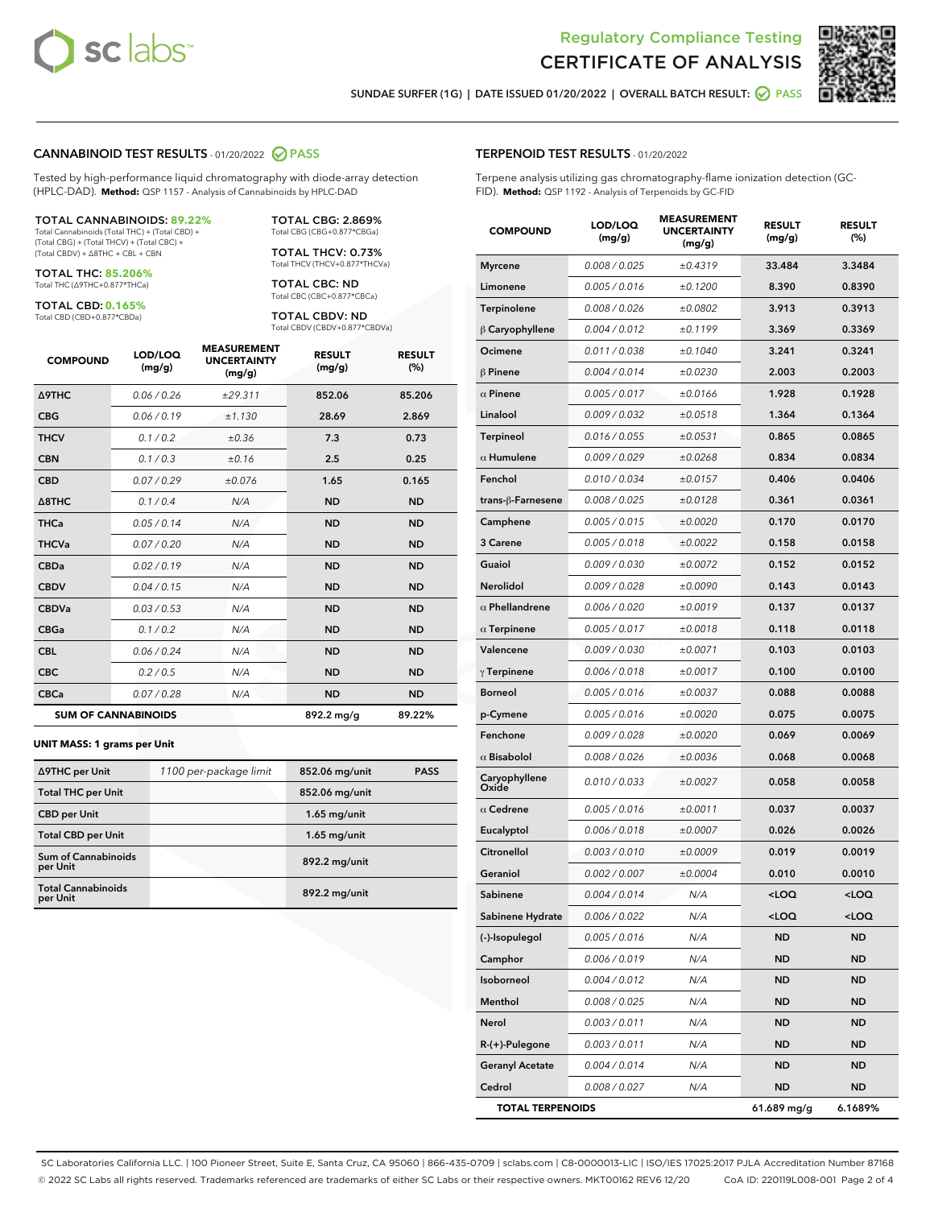



SUNDAE SURFER (1G) | DATE ISSUED 01/20/2022 | OVERALL BATCH RESULT: @ PASS

#### CANNABINOID TEST RESULTS - 01/20/2022 2 PASS

Tested by high-performance liquid chromatography with diode-array detection (HPLC-DAD). **Method:** QSP 1157 - Analysis of Cannabinoids by HPLC-DAD

#### TOTAL CANNABINOIDS: **89.22%**

Total Cannabinoids (Total THC) + (Total CBD) + (Total CBG) + (Total THCV) + (Total CBC) + (Total CBDV) + ∆8THC + CBL + CBN

TOTAL THC: **85.206%** Total THC (∆9THC+0.877\*THCa)

TOTAL CBD: **0.165%** Total CBD (CBD+0.877\*CBDa)

TOTAL CBG: 2.869% Total CBG (CBG+0.877\*CBGa)

TOTAL THCV: 0.73% Total THCV (THCV+0.877\*THCVa)

TOTAL CBC: ND Total CBC (CBC+0.877\*CBCa)

TOTAL CBDV: ND Total CBDV (CBDV+0.877\*CBDVa)

| <b>COMPOUND</b>  | LOD/LOQ<br>(mg/g)          | <b>MEASUREMENT</b><br><b>UNCERTAINTY</b><br>(mg/g) | <b>RESULT</b><br>(mg/g) | <b>RESULT</b><br>(%) |
|------------------|----------------------------|----------------------------------------------------|-------------------------|----------------------|
| Δ9THC            | 0.06 / 0.26                | ±29.311                                            | 852.06                  | 85.206               |
| <b>CBG</b>       | 0.06/0.19                  | ±1.130                                             | 28.69                   | 2.869                |
| <b>THCV</b>      | 0.1 / 0.2                  | ±0.36                                              | 7.3                     | 0.73                 |
| <b>CBN</b>       | 0.1 / 0.3                  | ±0.16                                              | 2.5                     | 0.25                 |
| <b>CBD</b>       | 0.07/0.29                  | ±0.076                                             | 1.65                    | 0.165                |
| $\triangle$ 8THC | 0.1 / 0.4                  | N/A                                                | <b>ND</b>               | <b>ND</b>            |
| <b>THCa</b>      | 0.05/0.14                  | N/A                                                | <b>ND</b>               | <b>ND</b>            |
| <b>THCVa</b>     | 0.07/0.20                  | N/A                                                | <b>ND</b>               | <b>ND</b>            |
| <b>CBDa</b>      | 0.02/0.19                  | N/A                                                | <b>ND</b>               | <b>ND</b>            |
| <b>CBDV</b>      | 0.04/0.15                  | N/A                                                | <b>ND</b>               | <b>ND</b>            |
| <b>CBDVa</b>     | 0.03/0.53                  | N/A                                                | <b>ND</b>               | <b>ND</b>            |
| <b>CBGa</b>      | 0.1/0.2                    | N/A                                                | <b>ND</b>               | <b>ND</b>            |
| <b>CBL</b>       | 0.06 / 0.24                | N/A                                                | <b>ND</b>               | <b>ND</b>            |
| <b>CBC</b>       | 0.2 / 0.5                  | N/A                                                | <b>ND</b>               | <b>ND</b>            |
| <b>CBCa</b>      | 0.07 / 0.28                | N/A                                                | <b>ND</b>               | <b>ND</b>            |
|                  | <b>SUM OF CANNABINOIDS</b> |                                                    | $892.2 \,\mathrm{mg/g}$ | 89.22%               |

#### **UNIT MASS: 1 grams per Unit**

| ∆9THC per Unit                         | 1100 per-package limit | 852.06 mg/unit | <b>PASS</b> |
|----------------------------------------|------------------------|----------------|-------------|
| <b>Total THC per Unit</b>              |                        | 852.06 mg/unit |             |
| <b>CBD per Unit</b>                    |                        | $1.65$ mg/unit |             |
| <b>Total CBD per Unit</b>              |                        | $1.65$ mg/unit |             |
| <b>Sum of Cannabinoids</b><br>per Unit |                        | 892.2 mg/unit  |             |
| <b>Total Cannabinoids</b><br>per Unit  |                        | 892.2 mg/unit  |             |

#### TERPENOID TEST RESULTS - 01/20/2022

Terpene analysis utilizing gas chromatography-flame ionization detection (GC-FID). **Method:** QSP 1192 - Analysis of Terpenoids by GC-FID

| <b>COMPOUND</b>         | LOD/LOQ<br>(mg/g) | <b>MEASUREMENT</b><br><b>UNCERTAINTY</b><br>(mg/g) | <b>RESULT</b><br>(mg/g) | <b>RESULT</b><br>(%) |
|-------------------------|-------------------|----------------------------------------------------|-------------------------|----------------------|
| <b>Myrcene</b>          | 0.008 / 0.025     | ±0.4319                                            | 33.484                  | 3.3484               |
| Limonene                | 0.005 / 0.016     | ±0.1200                                            | 8.390                   | 0.8390               |
| Terpinolene             | 0.008 / 0.026     | ±0.0802                                            | 3.913                   | 0.3913               |
| $\beta$ Caryophyllene   | 0.004 / 0.012     | ±0.1199                                            | 3.369                   | 0.3369               |
| Ocimene                 | 0.011 / 0.038     | ±0.1040                                            | 3.241                   | 0.3241               |
| $\beta$ Pinene          | 0.004 / 0.014     | ±0.0230                                            | 2.003                   | 0.2003               |
| $\alpha$ Pinene         | 0.005 / 0.017     | ±0.0166                                            | 1.928                   | 0.1928               |
| Linalool                | 0.009 / 0.032     | ±0.0518                                            | 1.364                   | 0.1364               |
| <b>Terpineol</b>        | 0.016 / 0.055     | ±0.0531                                            | 0.865                   | 0.0865               |
| $\alpha$ Humulene       | 0.009 / 0.029     | ±0.0268                                            | 0.834                   | 0.0834               |
| Fenchol                 | 0.010 / 0.034     | ±0.0157                                            | 0.406                   | 0.0406               |
| trans-ß-Farnesene       | 0.008 / 0.025     | ±0.0128                                            | 0.361                   | 0.0361               |
| Camphene                | 0.005 / 0.015     | ±0.0020                                            | 0.170                   | 0.0170               |
| 3 Carene                | 0.005 / 0.018     | ±0.0022                                            | 0.158                   | 0.0158               |
| Guaiol                  | 0.009 / 0.030     | ±0.0072                                            | 0.152                   | 0.0152               |
| <b>Nerolidol</b>        | 0.009 / 0.028     | ±0.0090                                            | 0.143                   | 0.0143               |
| $\alpha$ Phellandrene   | 0.006 / 0.020     | ±0.0019                                            | 0.137                   | 0.0137               |
| $\alpha$ Terpinene      | 0.005 / 0.017     | ±0.0018                                            | 0.118                   | 0.0118               |
| Valencene               | 0.009 / 0.030     | ±0.0071                                            | 0.103                   | 0.0103               |
| $\gamma$ Terpinene      | 0.006 / 0.018     | ±0.0017                                            | 0.100                   | 0.0100               |
| <b>Borneol</b>          | 0.005 / 0.016     | ±0.0037                                            | 0.088                   | 0.0088               |
| p-Cymene                | 0.005 / 0.016     | ±0.0020                                            | 0.075                   | 0.0075               |
| Fenchone                | 0.009 / 0.028     | ±0.0020                                            | 0.069                   | 0.0069               |
| $\alpha$ Bisabolol      | 0.008 / 0.026     | ±0.0036                                            | 0.068                   | 0.0068               |
| Caryophyllene<br>Oxide  | 0.010 / 0.033     | ±0.0027                                            | 0.058                   | 0.0058               |
| $\alpha$ Cedrene        | 0.005 / 0.016     | ±0.0011                                            | 0.037                   | 0.0037               |
| Eucalyptol              | 0.006 / 0.018     | ±0.0007                                            | 0.026                   | 0.0026               |
| Citronellol             | 0.003 / 0.010     | ±0.0009                                            | 0.019                   | 0.0019               |
| Geraniol                | 0.002 / 0.007     | ±0.0004                                            | 0.010                   | 0.0010               |
| Sabinene                | 0.004 / 0.014     | N/A                                                | $<$ l OO                | <loq< th=""></loq<>  |
| Sabinene Hydrate        | 0.006 / 0.022     | N/A                                                | $<$ LOQ                 | <loq< th=""></loq<>  |
| (-)-Isopulegol          | 0.005 / 0.016     | N/A                                                | ND                      | <b>ND</b>            |
| Camphor                 | 0.006 / 0.019     | N/A                                                | ND                      | <b>ND</b>            |
| Isoborneol              | 0.004 / 0.012     | N/A                                                | ND                      | ND                   |
| Menthol                 | 0.008 / 0.025     | N/A                                                | ND                      | ND                   |
| Nerol                   | 0.003 / 0.011     | N/A                                                | ND                      | ND                   |
| R-(+)-Pulegone          | 0.003 / 0.011     | N/A                                                | ND                      | ND                   |
| <b>Geranyl Acetate</b>  | 0.004 / 0.014     | N/A                                                | ND                      | ND                   |
| Cedrol                  | 0.008 / 0.027     | N/A                                                | ND                      | ND                   |
| <b>TOTAL TERPENOIDS</b> |                   |                                                    | 61.689 mg/g             | 6.1689%              |

SC Laboratories California LLC. | 100 Pioneer Street, Suite E, Santa Cruz, CA 95060 | 866-435-0709 | sclabs.com | C8-0000013-LIC | ISO/IES 17025:2017 PJLA Accreditation Number 87168 © 2022 SC Labs all rights reserved. Trademarks referenced are trademarks of either SC Labs or their respective owners. MKT00162 REV6 12/20 CoA ID: 220119L008-001 Page 2 of 4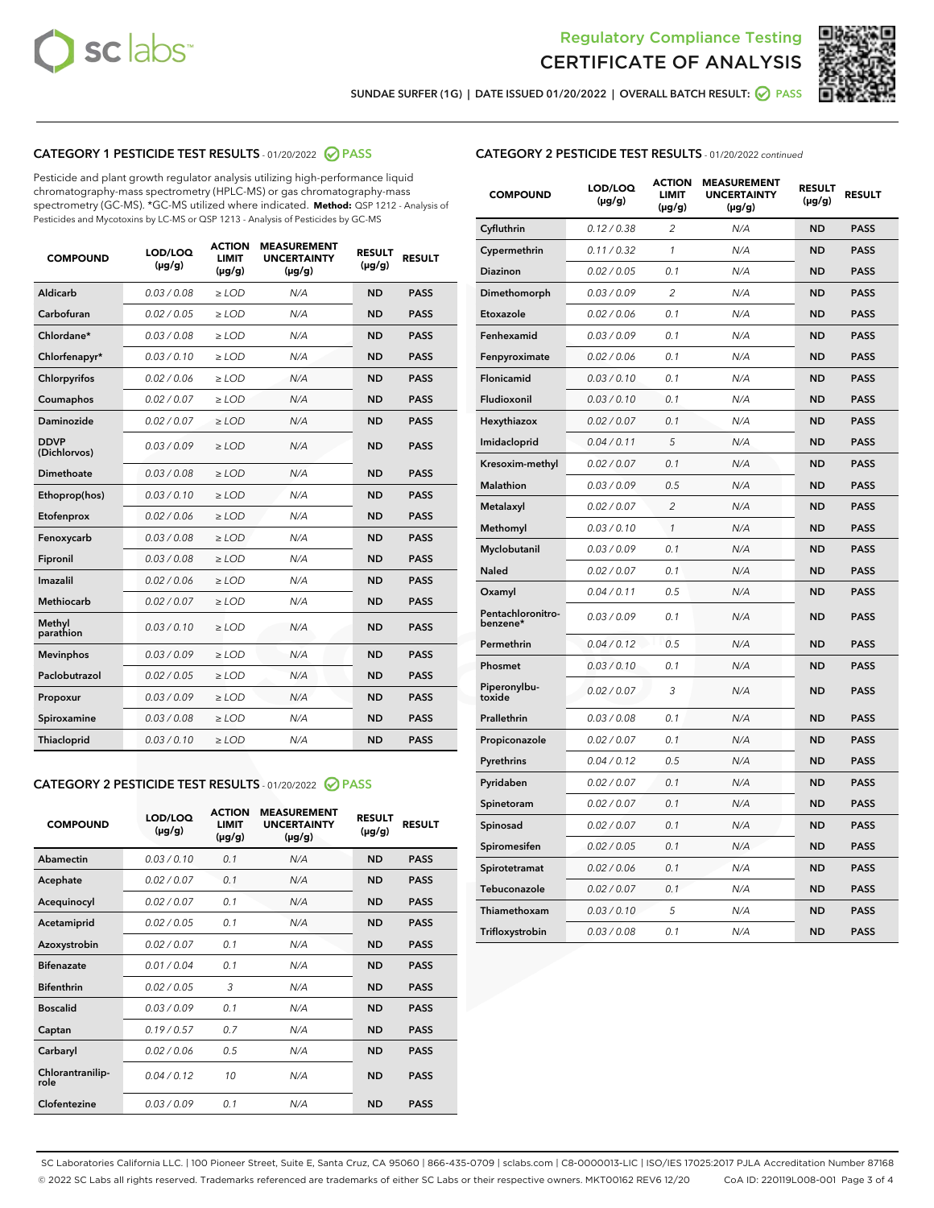



SUNDAE SURFER (1G) | DATE ISSUED 01/20/2022 | OVERALL BATCH RESULT: @ PASS

# CATEGORY 1 PESTICIDE TEST RESULTS - 01/20/2022 2 PASS

Pesticide and plant growth regulator analysis utilizing high-performance liquid chromatography-mass spectrometry (HPLC-MS) or gas chromatography-mass spectrometry (GC-MS). \*GC-MS utilized where indicated. **Method:** QSP 1212 - Analysis of Pesticides and Mycotoxins by LC-MS or QSP 1213 - Analysis of Pesticides by GC-MS

| <b>COMPOUND</b>             | LOD/LOQ<br>$(\mu g/g)$ | <b>ACTION</b><br><b>LIMIT</b><br>$(\mu g/g)$ | <b>MEASUREMENT</b><br><b>UNCERTAINTY</b><br>$(\mu g/g)$ | <b>RESULT</b><br>$(\mu g/g)$ | <b>RESULT</b> |
|-----------------------------|------------------------|----------------------------------------------|---------------------------------------------------------|------------------------------|---------------|
| Aldicarb                    | 0.03 / 0.08            | $\geq$ LOD                                   | N/A                                                     | <b>ND</b>                    | <b>PASS</b>   |
| Carbofuran                  | 0.02 / 0.05            | ≥ LOD                                        | N/A                                                     | <b>ND</b>                    | <b>PASS</b>   |
| Chlordane*                  | 0.03 / 0.08            | ≥ LOD                                        | N/A                                                     | <b>ND</b>                    | <b>PASS</b>   |
| Chlorfenapyr*               | 0.03/0.10              | ≥ LOD                                        | N/A                                                     | <b>ND</b>                    | <b>PASS</b>   |
| Chlorpyrifos                | 0.02/0.06              | $>$ LOD                                      | N/A                                                     | <b>ND</b>                    | <b>PASS</b>   |
| Coumaphos                   | 0.02 / 0.07            | $\geq$ LOD                                   | N/A                                                     | <b>ND</b>                    | <b>PASS</b>   |
| Daminozide                  | 0.02/0.07              | $>$ LOD                                      | N/A                                                     | <b>ND</b>                    | <b>PASS</b>   |
| <b>DDVP</b><br>(Dichlorvos) | 0.03/0.09              | $\geq$ LOD                                   | N/A                                                     | <b>ND</b>                    | <b>PASS</b>   |
| <b>Dimethoate</b>           | 0.03/0.08              | $\geq$ LOD                                   | N/A                                                     | <b>ND</b>                    | <b>PASS</b>   |
| Ethoprop(hos)               | 0.03/0.10              | $>$ LOD                                      | N/A                                                     | <b>ND</b>                    | <b>PASS</b>   |
| Etofenprox                  | 0.02 / 0.06            | $\geq$ LOD                                   | N/A                                                     | <b>ND</b>                    | <b>PASS</b>   |
| Fenoxycarb                  | 0.03 / 0.08            | $\geq$ LOD                                   | N/A                                                     | <b>ND</b>                    | <b>PASS</b>   |
| Fipronil                    | 0.03 / 0.08            | $\geq$ LOD                                   | N/A                                                     | <b>ND</b>                    | <b>PASS</b>   |
| Imazalil                    | 0.02 / 0.06            | $>$ LOD                                      | N/A                                                     | <b>ND</b>                    | <b>PASS</b>   |
| <b>Methiocarb</b>           | 0.02 / 0.07            | ≥ LOD                                        | N/A                                                     | <b>ND</b>                    | <b>PASS</b>   |
| Methyl<br>parathion         | 0.03/0.10              | $\geq$ LOD                                   | N/A                                                     | <b>ND</b>                    | <b>PASS</b>   |
| <b>Mevinphos</b>            | 0.03/0.09              | $\geq$ LOD                                   | N/A                                                     | <b>ND</b>                    | <b>PASS</b>   |
| Paclobutrazol               | 0.02 / 0.05            | $\geq$ LOD                                   | N/A                                                     | <b>ND</b>                    | <b>PASS</b>   |
| Propoxur                    | 0.03/0.09              | $>$ LOD                                      | N/A                                                     | <b>ND</b>                    | <b>PASS</b>   |
| Spiroxamine                 | 0.03 / 0.08            | $\geq$ LOD                                   | N/A                                                     | <b>ND</b>                    | <b>PASS</b>   |
| Thiacloprid                 | 0.03/0.10              | $\geq$ LOD                                   | N/A                                                     | <b>ND</b>                    | <b>PASS</b>   |
|                             |                        |                                              |                                                         |                              |               |

# CATEGORY 2 PESTICIDE TEST RESULTS - 01/20/2022 2 PASS

| <b>COMPOUND</b>          | LOD/LOQ<br>$(\mu g/g)$ | <b>ACTION</b><br>LIMIT<br>$(\mu g/g)$ | <b>MEASUREMENT</b><br><b>UNCERTAINTY</b><br>$(\mu g/g)$ | <b>RESULT</b><br>$(\mu g/g)$ | <b>RESULT</b> |
|--------------------------|------------------------|---------------------------------------|---------------------------------------------------------|------------------------------|---------------|
| Abamectin                | 0.03/0.10              | 0.1                                   | N/A                                                     | <b>ND</b>                    | <b>PASS</b>   |
| Acephate                 | 0.02/0.07              | 0.1                                   | N/A                                                     | <b>ND</b>                    | <b>PASS</b>   |
| Acequinocyl              | 0.02/0.07              | 0.1                                   | N/A                                                     | <b>ND</b>                    | <b>PASS</b>   |
| Acetamiprid              | 0.02 / 0.05            | 0.1                                   | N/A                                                     | <b>ND</b>                    | <b>PASS</b>   |
| Azoxystrobin             | 0.02/0.07              | 0.1                                   | N/A                                                     | <b>ND</b>                    | <b>PASS</b>   |
| <b>Bifenazate</b>        | 0.01/0.04              | 0.1                                   | N/A                                                     | <b>ND</b>                    | <b>PASS</b>   |
| <b>Bifenthrin</b>        | 0.02/0.05              | 3                                     | N/A                                                     | <b>ND</b>                    | <b>PASS</b>   |
| <b>Boscalid</b>          | 0.03/0.09              | 0.1                                   | N/A                                                     | <b>ND</b>                    | <b>PASS</b>   |
| Captan                   | 0.19/0.57              | 0.7                                   | N/A                                                     | <b>ND</b>                    | <b>PASS</b>   |
| Carbaryl                 | 0.02/0.06              | 0.5                                   | N/A                                                     | <b>ND</b>                    | <b>PASS</b>   |
| Chlorantranilip-<br>role | 0.04/0.12              | 10                                    | N/A                                                     | <b>ND</b>                    | <b>PASS</b>   |
| Clofentezine             | 0.03/0.09              | 0.1                                   | N/A                                                     | <b>ND</b>                    | <b>PASS</b>   |

#### CATEGORY 2 PESTICIDE TEST RESULTS - 01/20/2022 continued

| <b>COMPOUND</b>               | LOD/LOQ<br>(µg/g) | <b>ACTION</b><br><b>LIMIT</b><br>$(\mu g/g)$ | <b>MEASUREMENT</b><br><b>UNCERTAINTY</b><br>$(\mu g/g)$ | <b>RESULT</b><br>(µg/g) | <b>RESULT</b> |
|-------------------------------|-------------------|----------------------------------------------|---------------------------------------------------------|-------------------------|---------------|
| Cyfluthrin                    | 0.12 / 0.38       | $\overline{c}$                               | N/A                                                     | <b>ND</b>               | <b>PASS</b>   |
| Cypermethrin                  | 0.11 / 0.32       | $\mathcal{I}$                                | N/A                                                     | ND                      | <b>PASS</b>   |
| <b>Diazinon</b>               | 0.02 / 0.05       | 0.1                                          | N/A                                                     | <b>ND</b>               | <b>PASS</b>   |
| Dimethomorph                  | 0.03 / 0.09       | 2                                            | N/A                                                     | ND                      | <b>PASS</b>   |
| Etoxazole                     | 0.02 / 0.06       | 0.1                                          | N/A                                                     | ND                      | <b>PASS</b>   |
| Fenhexamid                    | 0.03 / 0.09       | 0.1                                          | N/A                                                     | ND                      | <b>PASS</b>   |
| Fenpyroximate                 | 0.02 / 0.06       | 0.1                                          | N/A                                                     | <b>ND</b>               | <b>PASS</b>   |
| Flonicamid                    | 0.03 / 0.10       | 0.1                                          | N/A                                                     | ND                      | <b>PASS</b>   |
| Fludioxonil                   | 0.03 / 0.10       | 0.1                                          | N/A                                                     | ND                      | <b>PASS</b>   |
| Hexythiazox                   | 0.02 / 0.07       | 0.1                                          | N/A                                                     | <b>ND</b>               | <b>PASS</b>   |
| Imidacloprid                  | 0.04 / 0.11       | 5                                            | N/A                                                     | <b>ND</b>               | <b>PASS</b>   |
| Kresoxim-methyl               | 0.02 / 0.07       | 0.1                                          | N/A                                                     | ND                      | <b>PASS</b>   |
| Malathion                     | 0.03 / 0.09       | 0.5                                          | N/A                                                     | <b>ND</b>               | <b>PASS</b>   |
| Metalaxyl                     | 0.02 / 0.07       | $\overline{c}$                               | N/A                                                     | <b>ND</b>               | <b>PASS</b>   |
| Methomyl                      | 0.03 / 0.10       | $\mathbf{1}$                                 | N/A                                                     | ND                      | <b>PASS</b>   |
| Myclobutanil                  | 0.03 / 0.09       | 0.1                                          | N/A                                                     | <b>ND</b>               | <b>PASS</b>   |
| Naled                         | 0.02 / 0.07       | 0.1                                          | N/A                                                     | <b>ND</b>               | <b>PASS</b>   |
| Oxamyl                        | 0.04 / 0.11       | 0.5                                          | N/A                                                     | ND                      | <b>PASS</b>   |
| Pentachloronitro-<br>benzene* | 0.03 / 0.09       | 0.1                                          | N/A                                                     | <b>ND</b>               | <b>PASS</b>   |
| Permethrin                    | 0.04 / 0.12       | 0.5                                          | N/A                                                     | ND                      | <b>PASS</b>   |
| Phosmet                       | 0.03 / 0.10       | 0.1                                          | N/A                                                     | ND                      | <b>PASS</b>   |
| Piperonylbu-<br>toxide        | 0.02 / 0.07       | 3                                            | N/A                                                     | <b>ND</b>               | <b>PASS</b>   |
| Prallethrin                   | 0.03 / 0.08       | 0.1                                          | N/A                                                     | ND                      | <b>PASS</b>   |
| Propiconazole                 | 0.02 / 0.07       | 0.1                                          | N/A                                                     | <b>ND</b>               | <b>PASS</b>   |
| Pyrethrins                    | 0.04 / 0.12       | 0.5                                          | N/A                                                     | ND                      | <b>PASS</b>   |
| Pyridaben                     | 0.02 / 0.07       | 0.1                                          | N/A                                                     | <b>ND</b>               | <b>PASS</b>   |
| Spinetoram                    | 0.02 / 0.07       | 0.1                                          | N/A                                                     | <b>ND</b>               | <b>PASS</b>   |
| Spinosad                      | 0.02 / 0.07       | 0.1                                          | N/A                                                     | ND                      | <b>PASS</b>   |
| Spiromesifen                  | 0.02 / 0.05       | 0.1                                          | N/A                                                     | <b>ND</b>               | <b>PASS</b>   |
| Spirotetramat                 | 0.02 / 0.06       | 0.1                                          | N/A                                                     | <b>ND</b>               | <b>PASS</b>   |
| Tebuconazole                  | 0.02 / 0.07       | 0.1                                          | N/A                                                     | ND                      | <b>PASS</b>   |
| Thiamethoxam                  | 0.03 / 0.10       | 5                                            | N/A                                                     | <b>ND</b>               | <b>PASS</b>   |
| Trifloxystrobin               | 0.03 / 0.08       | 0.1                                          | N/A                                                     | <b>ND</b>               | <b>PASS</b>   |

SC Laboratories California LLC. | 100 Pioneer Street, Suite E, Santa Cruz, CA 95060 | 866-435-0709 | sclabs.com | C8-0000013-LIC | ISO/IES 17025:2017 PJLA Accreditation Number 87168 © 2022 SC Labs all rights reserved. Trademarks referenced are trademarks of either SC Labs or their respective owners. MKT00162 REV6 12/20 CoA ID: 220119L008-001 Page 3 of 4